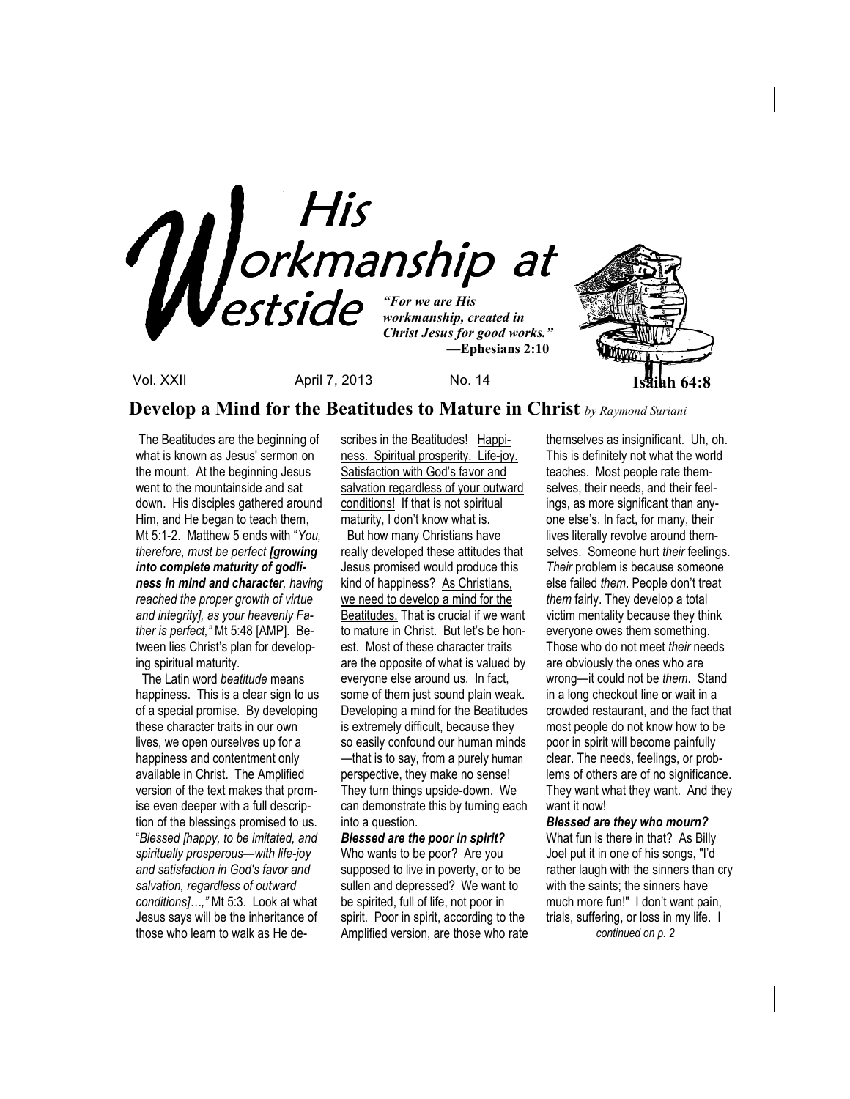

## **Develop a Mind for the Beatitudes to Mature in Christ** *by Raymond Suriani*

 The Beatitudes are the beginning of what is known as Jesus' sermon on the mount. At the beginning Jesus went to the mountainside and sat down. His disciples gathered around Him, and He began to teach them, Mt 5:1-2. Matthew 5 ends with "*You, therefore, must be perfect [growing into complete maturity of godliness in mind and character, having reached the proper growth of virtue and integrity], as your heavenly Father is perfect,"* Mt 5:48 [AMP]. Between lies Christ's plan for developing spiritual maturity.

 The Latin word *beatitude* means happiness. This is a clear sign to us of a special promise. By developing these character traits in our own lives, we open ourselves up for a happiness and contentment only available in Christ. The Amplified version of the text makes that promise even deeper with a full description of the blessings promised to us. "*Blessed [happy, to be imitated, and spiritually prosperous—with life-joy and satisfaction in God's favor and salvation, regardless of outward conditions]…,"* Mt 5:3. Look at what Jesus says will be the inheritance of those who learn to walk as He describes in the Beatitudes! Happiness. Spiritual prosperity. Life-joy. Satisfaction with God's favor and salvation regardless of your outward conditions! If that is not spiritual maturity, I don't know what is.

 But how many Christians have really developed these attitudes that Jesus promised would produce this kind of happiness? As Christians, we need to develop a mind for the Beatitudes. That is crucial if we want to mature in Christ. But let's be honest. Most of these character traits are the opposite of what is valued by everyone else around us. In fact, some of them just sound plain weak. Developing a mind for the Beatitudes is extremely difficult, because they so easily confound our human minds —that is to say, from a purely human perspective, they make no sense! They turn things upside-down. We can demonstrate this by turning each into a question.

*Blessed are the poor in spirit?*  Who wants to be poor? Are you supposed to live in poverty, or to be sullen and depressed? We want to be spirited, full of life, not poor in spirit. Poor in spirit, according to the Amplified version, are those who rate themselves as insignificant. Uh, oh. This is definitely not what the world teaches. Most people rate themselves, their needs, and their feelings, as more significant than anyone else's. In fact, for many, their lives literally revolve around themselves. Someone hurt *their* feelings. *Their* problem is because someone else failed *them*. People don't treat *them* fairly. They develop a total victim mentality because they think everyone owes them something. Those who do not meet *their* needs are obviously the ones who are wrong—it could not be *them*. Stand in a long checkout line or wait in a crowded restaurant, and the fact that most people do not know how to be poor in spirit will become painfully clear. The needs, feelings, or problems of others are of no significance. They want what they want. And they want it now!

*Blessed are they who mourn?* What fun is there in that? As Billy Joel put it in one of his songs, "I'd rather laugh with the sinners than cry with the saints; the sinners have much more fun!" I don't want pain, trials, suffering, or loss in my life. I *continued on p. 2*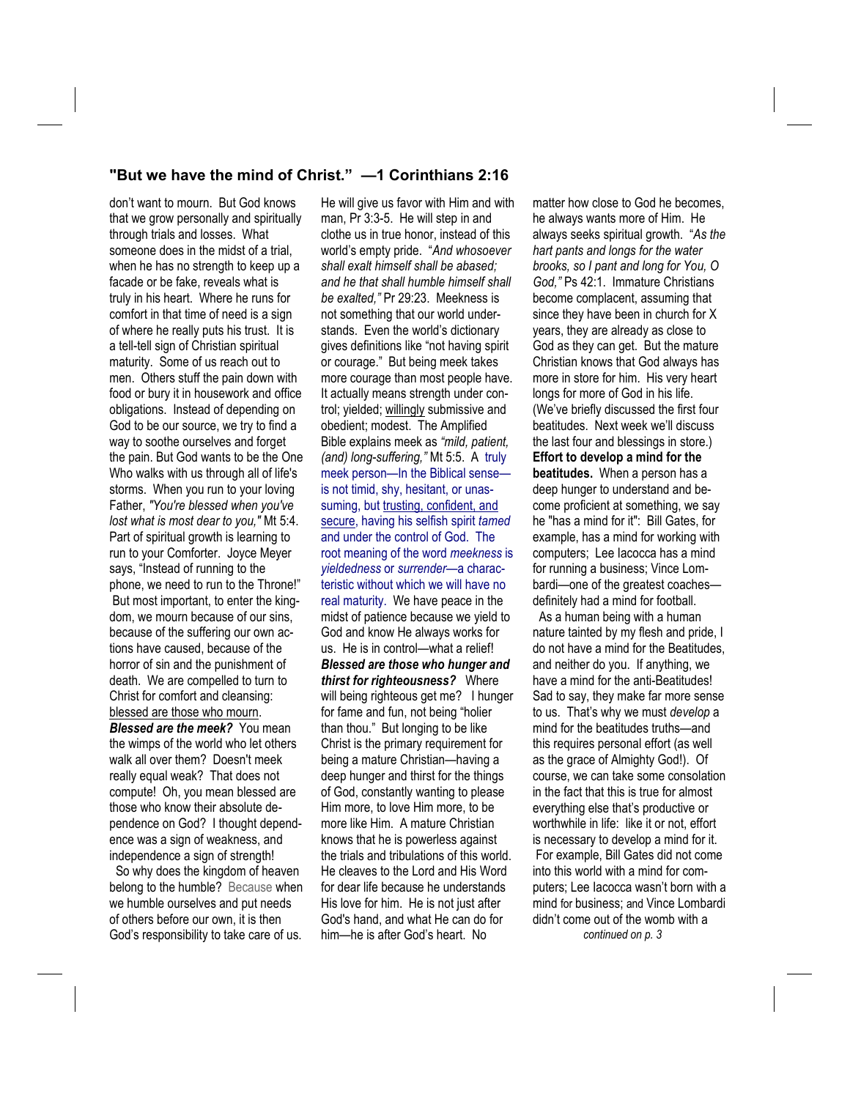### **"But we have the mind of Christ." —1 Corinthians 2:16**

don't want to mourn. But God knows that we grow personally and spiritually through trials and losses. What someone does in the midst of a trial, when he has no strength to keep up a facade or be fake, reveals what is truly in his heart. Where he runs for comfort in that time of need is a sign of where he really puts his trust. It is a tell-tell sign of Christian spiritual maturity. Some of us reach out to men. Others stuff the pain down with food or bury it in housework and office obligations. Instead of depending on God to be our source, we try to find a way to soothe ourselves and forget the pain. But God wants to be the One Who walks with us through all of life's storms. When you run to your loving Father, *"You're blessed when you've lost what is most dear to you,"* Mt 5:4. Part of spiritual growth is learning to run to your Comforter. Joyce Meyer says, "Instead of running to the phone, we need to run to the Throne!" But most important, to enter the kingdom, we mourn because of our sins, because of the suffering our own actions have caused, because of the horror of sin and the punishment of death. We are compelled to turn to Christ for comfort and cleansing: blessed are those who mourn. *Blessed are the meek?*You mean the wimps of the world who let others walk all over them? Doesn't meek really equal weak? That does not compute! Oh, you mean blessed are those who know their absolute dependence on God? I thought dependence was a sign of weakness, and independence a sign of strength! So why does the kingdom of heaven

belong to the humble? Because when we humble ourselves and put needs of others before our own, it is then God's responsibility to take care of us.

He will give us favor with Him and with man, Pr 3:3-5. He will step in and clothe us in true honor, instead of this world's empty pride. "*And whosoever shall exalt himself shall be abased; and he that shall humble himself shall be exalted,"* Pr 29:23. Meekness is not something that our world understands. Even the world's dictionary gives definitions like "not having spirit or courage." But being meek takes more courage than most people have. It actually means strength under control; yielded; willingly submissive and obedient; modest. The Amplified Bible explains meek as *"mild, patient, (and) long-suffering,"* Mt 5:5. A truly meek person—In the Biblical sense is not timid, shy, hesitant, or unassuming, but trusting, confident, and secure, having his selfish spirit *tamed* and under the control of God. The root meaning of the word *meekness* is *yieldedness* or *surrender*—a characteristic without which we will have no real maturity. We have peace in the midst of patience because we yield to God and know He always works for us. He is in control—what a relief! *Blessed are those who hunger and thirst for righteousness?*Where will being righteous get me? I hunger for fame and fun, not being "holier than thou." But longing to be like Christ is the primary requirement for being a mature Christian—having a deep hunger and thirst for the things of God, constantly wanting to please Him more, to love Him more, to be more like Him. A mature Christian knows that he is powerless against the trials and tribulations of this world. He cleaves to the Lord and His Word for dear life because he understands His love for him. He is not just after God's hand, and what He can do for him—he is after God's heart. No

matter how close to God he becomes, he always wants more of Him. He always seeks spiritual growth. "*As the hart pants and longs for the water brooks, so I pant and long for You, O God,"* Ps 42:1. Immature Christians become complacent, assuming that since they have been in church for X years, they are already as close to God as they can get. But the mature Christian knows that God always has more in store for him. His very heart longs for more of God in his life. (We've briefly discussed the first four beatitudes. Next week we'll discuss the last four and blessings in store.) **Effort to develop a mind for the beatitudes.** When a person has a deep hunger to understand and become proficient at something, we say he "has a mind for it": Bill Gates, for example, has a mind for working with computers; Lee Iacocca has a mind for running a business; Vince Lombardi—one of the greatest coaches definitely had a mind for football. As a human being with a human nature tainted by my flesh and pride, I

do not have a mind for the Beatitudes, and neither do you. If anything, we have a mind for the anti-Beatitudes! Sad to say, they make far more sense to us. That's why we must *develop* a mind for the beatitudes truths—and this requires personal effort (as well as the grace of Almighty God!). Of course, we can take some consolation in the fact that this is true for almost everything else that's productive or worthwhile in life: like it or not, effort is necessary to develop a mind for it. For example, Bill Gates did not come into this world with a mind for computers; Lee Iacocca wasn't born with a mind for business; and Vince Lombardi didn't come out of the womb with a *continued on p. 3*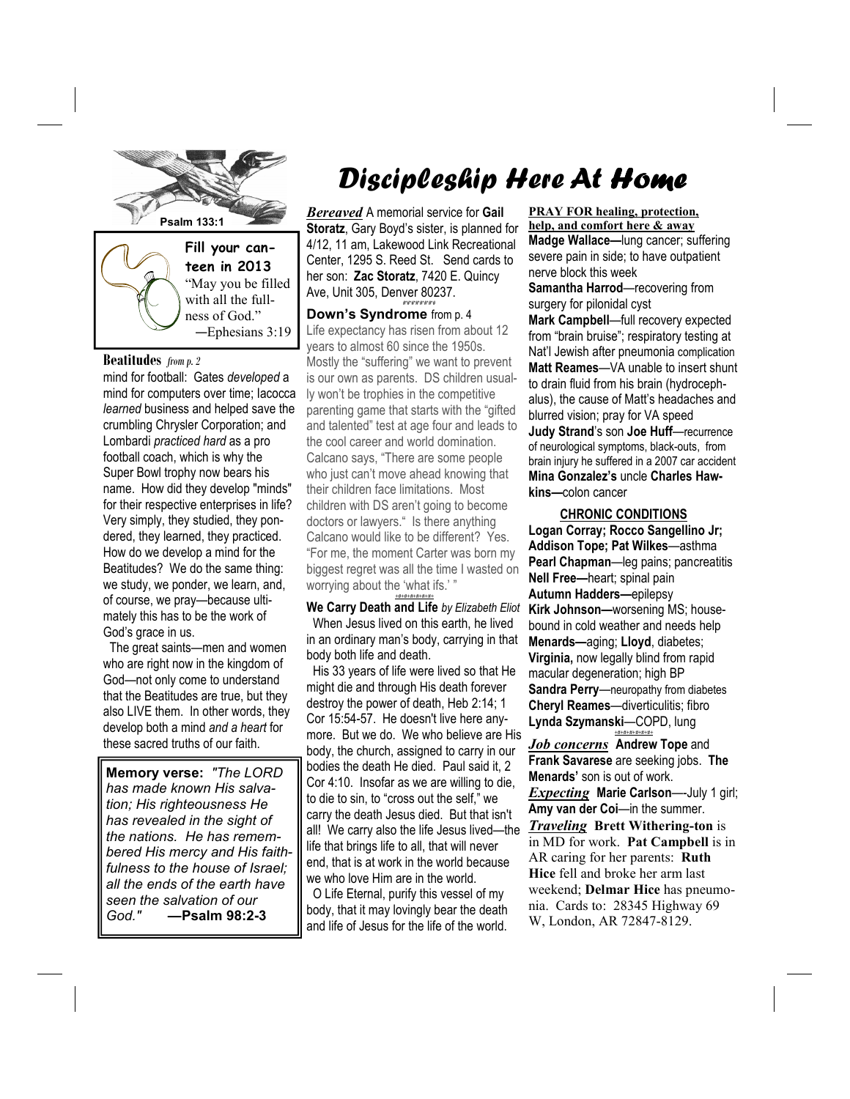

**teen in 2013**  "May you be filled with all the fullness of God." —Ephesians 3:19

#### **Beatitudes** *from p. 2*

mind for football: Gates *developed* a mind for computers over time; Iacocca *learned* business and helped save the crumbling Chrysler Corporation; and Lombardi *practiced hard* as a pro football coach, which is why the Super Bowl trophy now bears his name. How did they develop "minds" for their respective enterprises in life? Very simply, they studied, they pondered, they learned, they practiced. How do we develop a mind for the Beatitudes? We do the same thing: we study, we ponder, we learn, and, of course, we pray—because ultimately this has to be the work of God's grace in us.

 The great saints—men and women who are right now in the kingdom of God—not only come to understand that the Beatitudes are true, but they also LIVE them. In other words, they develop both a mind *and a heart* for these sacred truths of our faith.

**Memory verse:** *"The LORD has made known His salvation; His righteousness He has revealed in the sight of the nations. He has remembered His mercy and His faithfulness to the house of Israel; all the ends of the earth have seen the salvation of our God." —***Psalm 98:2-3**

# Discipleship Here At Home

*Bereaved* A memorial service for **Gail Storatz**, Gary Boyd's sister, is planned for 4/12, 11 am, Lakewood Link Recreational Center, 1295 S. Reed St. Send cards to her son: **Zac Storatz**, 7420 E. Quincy Ave, Unit 305, Denver 80237. #\*#\*#\*#\*#\*#\*#\*#

**Down's Syndrome** from p. 4 Life expectancy has risen from about 12 years to almost 60 since the 1950s. Mostly the "suffering" we want to prevent is our own as parents. DS children usually won't be trophies in the competitive parenting game that starts with the "gifted and talented" test at age four and leads to the cool career and world domination. Calcano says, "There are some people who just can't move ahead knowing that their children face limitations. Most children with DS aren't going to become doctors or lawyers." Is there anything Calcano would like to be different? Yes. "For me, the moment Carter was born my biggest regret was all the time I wasted on worrying about the 'what ifs.' " *+#+#+#+#+#+#+*

**We Carry Death and Life** *by Elizabeth Eliot*  When Jesus lived on this earth, he lived in an ordinary man's body, carrying in that body both life and death.

 His 33 years of life were lived so that He might die and through His death forever destroy the power of death, Heb 2:14; 1 Cor 15:54-57. He doesn't live here anymore. But we do. We who believe are His body, the church, assigned to carry in our bodies the death He died. Paul said it, 2 Cor 4:10. Insofar as we are willing to die, to die to sin, to "cross out the self," we carry the death Jesus died. But that isn't all! We carry also the life Jesus lived—the life that brings life to all, that will never end, that is at work in the world because we who love Him are in the world.

 O Life Eternal, purify this vessel of my body, that it may lovingly bear the death and life of Jesus for the life of the world.

**PRAY FOR healing, protection, help, and comfort here & away Madge Wallace—**lung cancer; suffering severe pain in side; to have outpatient nerve block this week

**Samantha Harrod**—recovering from surgery for pilonidal cyst

**Mark Campbell**—full recovery expected from "brain bruise"; respiratory testing at Nat'l Jewish after pneumonia complication **Matt Reames**—VA unable to insert shunt to drain fluid from his brain (hydrocephalus), the cause of Matt's headaches and blurred vision; pray for VA speed **Judy Strand**'s son **Joe Huff**—recurrence of neurological symptoms, black-outs, from brain injury he suffered in a 2007 car accident **Mina Gonzalez's** uncle **Charles Hawkins—**colon cancer

### **CHRONIC CONDITIONS**

**Logan Corray; Rocco Sangellino Jr; Addison Tope; Pat Wilkes**—asthma **Pearl Chapman**—leg pains; pancreatitis **Nell Free—**heart; spinal pain **Autumn Hadders—**epilepsy **Kirk Johnson—**worsening MS; housebound in cold weather and needs help **Menards—**aging; **Lloyd**, diabetes; **Virginia,** now legally blind from rapid macular degeneration; high BP **Sandra Perry**—neuropathy from diabetes **Cheryl Reames**—diverticulitis; fibro **Lynda Szymanski**—COPD, lung

*Job concerns* **Andrew Tope** and **Frank Savarese** are seeking jobs. **The Menards'** son is out of work. *Expecting* **Marie Carlson**—-July 1 girl; **Amy van der Coi**—in the summer. *Traveling* **Brett Withering-ton** is in MD for work. **Pat Campbell** is in AR caring for her parents: **Ruth Hice** fell and broke her arm last weekend; **Delmar Hice** has pneumonia. Cards to: 28345 Highway 69 W, London, AR 72847-8129.

*+#+#+#+#+#+#+*